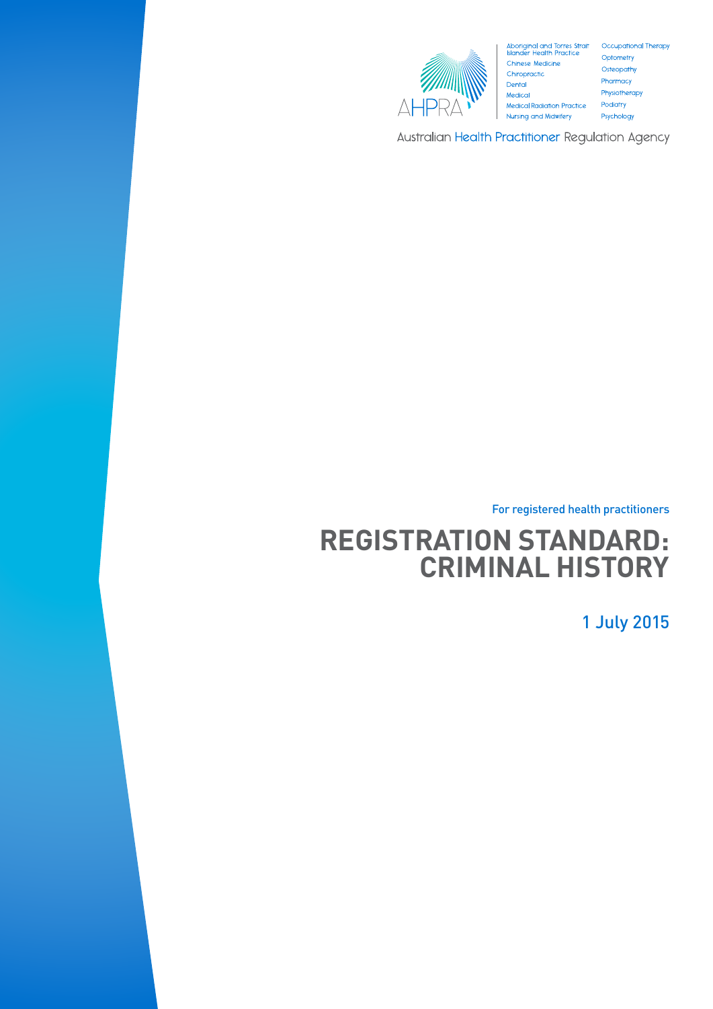

Aboriginal and Torres Strait Occupational Therapy<br>Islander Health Practice Optometry Islander Health Practice<br>Chinese Medicine<br>Chiropractic Chiropractic Dental Medical **Medical Radiation Practice** Nursing and Midwifery

Osteopathy Pharmacy Physiotherapy Podiatry Psychology

Australian Health Practitioner Regulation Agency

For registered health practitioners

# **REGISTRATION STANDARD: CRIMINAL HISTORY**

1 July 2015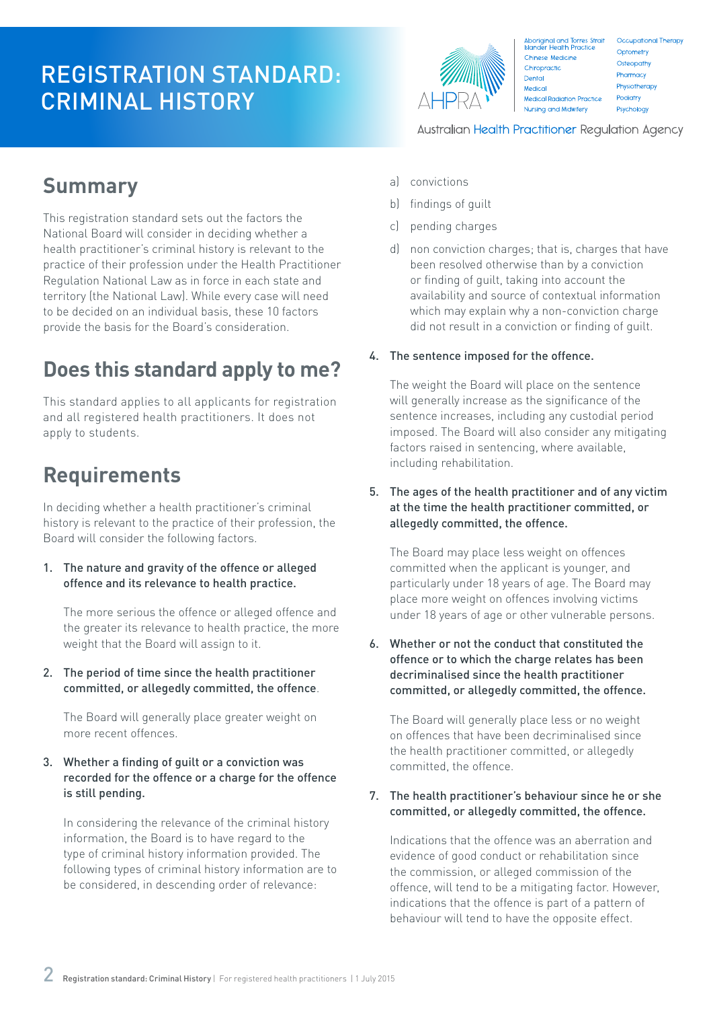## REGISTRATION STANDARD: CRIMINAL HISTORY



Aboriginal and Torres Strait<br>Islander Health Practice Occupational Therapy Optometry Chinese Medicine Osteopathy Chiropractic Pharmacy Dental Physiotherapy Medical Medical Radiation Practice Podiatry Nursing and Midwifery Psychology

Australian Health Practitioner Regulation Agency

### **Summary**

This registration standard sets out the factors the National Board will consider in deciding whether a health practitioner's criminal history is relevant to the practice of their profession under the Health Practitioner Regulation National Law as in force in each state and territory (the National Law). While every case will need to be decided on an individual basis, these 10 factors provide the basis for the Board's consideration.

## **Does this standard apply to me?**

This standard applies to all applicants for registration and all registered health practitioners. It does not apply to students.

## **Requirements**

In deciding whether a health practitioner's criminal history is relevant to the practice of their profession, the Board will consider the following factors.

1. The nature and gravity of the offence or alleged offence and its relevance to health practice.

The more serious the offence or alleged offence and the greater its relevance to health practice, the more weight that the Board will assign to it.

2. The period of time since the health practitioner committed, or allegedly committed, the offence.

The Board will generally place greater weight on more recent offences.

### 3. Whether a finding of guilt or a conviction was recorded for the offence or a charge for the offence is still pending.

In considering the relevance of the criminal history information, the Board is to have regard to the type of criminal history information provided. The following types of criminal history information are to be considered, in descending order of relevance:

- a) convictions
- b) findings of guilt
- c) pending charges
- d) non conviction charges; that is, charges that have been resolved otherwise than by a conviction or finding of guilt, taking into account the availability and source of contextual information which may explain why a non-conviction charge did not result in a conviction or finding of guilt.

### 4. The sentence imposed for the offence.

The weight the Board will place on the sentence will generally increase as the significance of the sentence increases, including any custodial period imposed. The Board will also consider any mitigating factors raised in sentencing, where available, including rehabilitation.

5. The ages of the health practitioner and of any victim at the time the health practitioner committed, or allegedly committed, the offence.

The Board may place less weight on offences committed when the applicant is younger, and particularly under 18 years of age. The Board may place more weight on offences involving victims under 18 years of age or other vulnerable persons.

6. Whether or not the conduct that constituted the offence or to which the charge relates has been decriminalised since the health practitioner committed, or allegedly committed, the offence.

The Board will generally place less or no weight on offences that have been decriminalised since the health practitioner committed, or allegedly committed, the offence.

### 7. The health practitioner's behaviour since he or she committed, or allegedly committed, the offence.

Indications that the offence was an aberration and evidence of good conduct or rehabilitation since the commission, or alleged commission of the offence, will tend to be a mitigating factor. However, indications that the offence is part of a pattern of behaviour will tend to have the opposite effect.